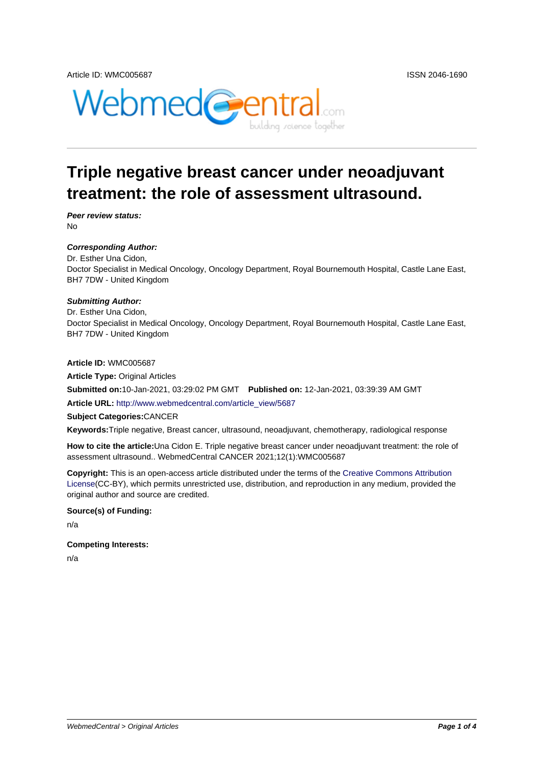



# **Triple negative breast cancer under neoadjuvant treatment: the role of assessment ultrasound.**

**Peer review status:** No

### **Corresponding Author:**

Dr. Esther Una Cidon, Doctor Specialist in Medical Oncology, Oncology Department, Royal Bournemouth Hospital, Castle Lane East, BH7 7DW - United Kingdom

### **Submitting Author:**

Dr. Esther Una Cidon, Doctor Specialist in Medical Oncology, Oncology Department, Royal Bournemouth Hospital, Castle Lane East, BH7 7DW - United Kingdom

**Article ID:** WMC005687

**Article Type:** Original Articles

**Submitted on:**10-Jan-2021, 03:29:02 PM GMT **Published on:** 12-Jan-2021, 03:39:39 AM GMT

**Article URL:** http://www.webmedcentral.com/article\_view/5687

**Subject Categories:**CANCER

**Keywords:**Triple negative, Breast cancer, ultrasound, neoadjuvant, chemotherapy, radiological response

**How to cite the article:**[Una Cidon E. Triple negative breast can](http://www.webmedcentral.com/article_view/5687)cer under neoadjuvant treatment: the role of assessment ultrasound.. WebmedCentral CANCER 2021;12(1):WMC005687

**Copyright:** This is an open-access article distributed under the terms of the Creative Commons Attribution License(CC-BY), which permits unrestricted use, distribution, and reproduction in any medium, provided the original author and source are credited.

#### **Source(s) of Funding:**

[n/a](http://creativecommons.org/licenses/by/3.0/)

#### **Competing Interests:**

n/a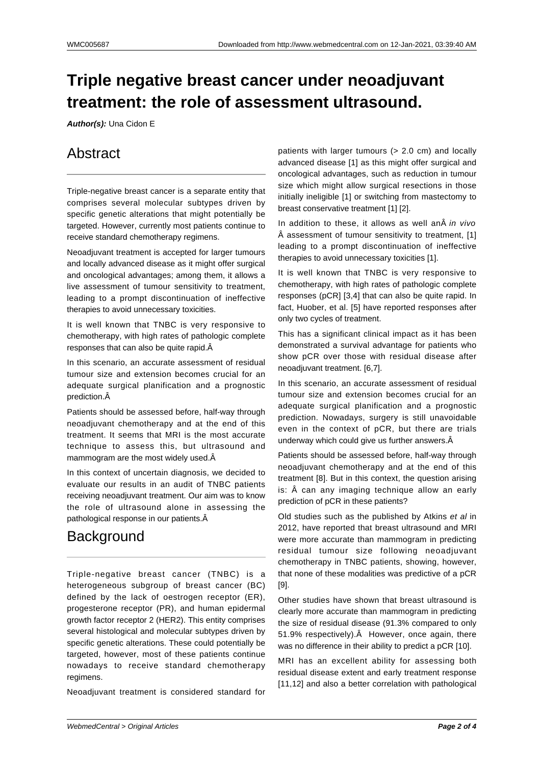# **Triple negative breast cancer under neoadjuvant treatment: the role of assessment ultrasound.**

**Author(s):** Una Cidon E

## Abstract

Triple-negative breast cancer is a separate entity that comprises several molecular subtypes driven by specific genetic alterations that might potentially be targeted. However, currently most patients continue to receive standard chemotherapy regimens.

Neoadjuvant treatment is accepted for larger tumours and locally advanced disease as it might offer surgical and oncological advantages; among them, it allows a live assessment of tumour sensitivity to treatment, leading to a prompt discontinuation of ineffective therapies to avoid unnecessary toxicities.

It is well known that TNBC is very responsive to chemotherapy, with high rates of pathologic complete responses that can also be quite rapid.

In this scenario, an accurate assessment of residual tumour size and extension becomes crucial for an adequate surgical planification and a prognostic prediction.

Patients should be assessed before, half-way through neoadjuvant chemotherapy and at the end of this treatment. It seems that MRI is the most accurate technique to assess this, but ultrasound and mammogram are the most widely used. $\hat{A}$ 

In this context of uncertain diagnosis, we decided to evaluate our results in an audit of TNBC patients receiving neoadjuvant treatment. Our aim was to know the role of ultrasound alone in assessing the pathological response in our patients.

## **Background**

Triple-negative breast cancer (TNBC) is a heterogeneous subgroup of breast cancer (BC) defined by the lack of oestrogen receptor (ER), progesterone receptor (PR), and human epidermal growth factor receptor 2 (HER2). This entity comprises several histological and molecular subtypes driven by specific genetic alterations. These could potentially be targeted, however, most of these patients continue nowadays to receive standard chemotherapy regimens.

Neoadjuvant treatment is considered standard for

patients with larger tumours (> 2.0 cm) and locally advanced disease [1] as this might offer surgical and oncological advantages, such as reduction in tumour size which might allow surgical resections in those initially ineligible [1] or switching from mastectomy to breast conservative treatment [1] [2].

In addition to these, it allows as well an in vivo  $\hat{A}$  assessment of tumour sensitivity to treatment, [1] leading to a prompt discontinuation of ineffective therapies to avoid unnecessary toxicities [1].

It is well known that TNBC is very responsive to chemotherapy, with high rates of pathologic complete responses (pCR] [3,4] that can also be quite rapid. In fact, Huober, et al. [5] have reported responses after only two cycles of treatment.

This has a significant clinical impact as it has been demonstrated a survival advantage for patients who show pCR over those with residual disease after neoadjuvant treatment. [6,7].

In this scenario, an accurate assessment of residual tumour size and extension becomes crucial for an adequate surgical planification and a prognostic prediction. Nowadays, surgery is still unavoidable even in the context of pCR, but there are trials underway which could give us further answers.

Patients should be assessed before, half-way through neoadjuvant chemotherapy and at the end of this treatment [8]. But in this context, the question arising is: Â can any imaging technique allow an early prediction of pCR in these patients?

Old studies such as the published by Atkins et al in 2012, have reported that breast ultrasound and MRI were more accurate than mammogram in predicting residual tumour size following neoadjuvant chemotherapy in TNBC patients, showing, however, that none of these modalities was predictive of a pCR [9].

Other studies have shown that breast ultrasound is clearly more accurate than mammogram in predicting the size of residual disease (91.3% compared to only 51.9% respectively). A However, once again, there was no difference in their ability to predict a pCR [10].

MRI has an excellent ability for assessing both residual disease extent and early treatment response [11,12] and also a better correlation with pathological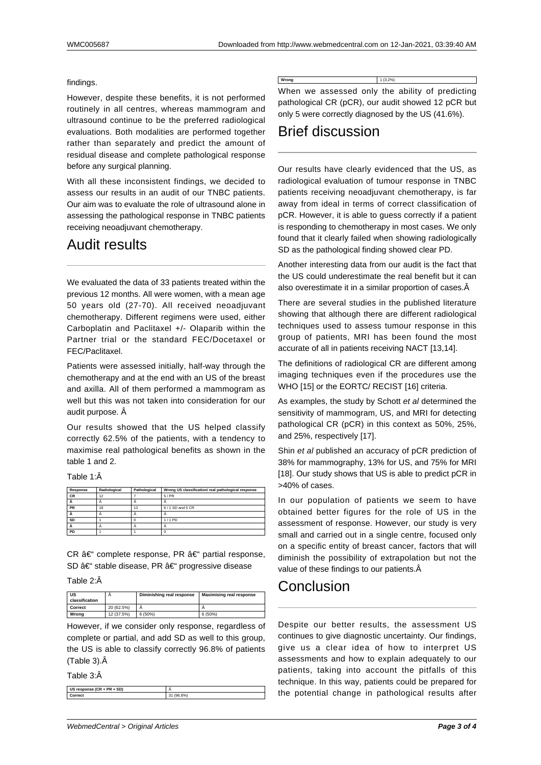#### findings.

However, despite these benefits, it is not performed routinely in all centres, whereas mammogram and ultrasound continue to be the preferred radiological evaluations. Both modalities are performed together rather than separately and predict the amount of residual disease and complete pathological response before any surgical planning.

With all these inconsistent findings, we decided to assess our results in an audit of our TNBC patients. Our aim was to evaluate the role of ultrasound alone in assessing the pathological response in TNBC patients receiving neoadjuvant chemotherapy.

### Audit results

We evaluated the data of 33 patients treated within the previous 12 months. All were women, with a mean age 50 years old (27-70). All received neoadjuvant chemotherapy. Different regimens were used, either Carboplatin and Paclitaxel +/- Olaparib within the Partner trial or the standard FEC/Docetaxel or FEC/Paclitaxel.

Patients were assessed initially, half-way through the chemotherapy and at the end with an US of the breast and axilla. All of them performed a mammogram as well but this was not taken into consideration for our audit purpose. Â

Our results showed that the US helped classify correctly 62.5% of the patients, with a tendency to maximise real pathological benefits as shown in the table 1 and 2.

Table 1:Â

| Response  | Radiological | Pathological | Wrong US classification/ real pathological response |
|-----------|--------------|--------------|-----------------------------------------------------|
| <b>CR</b> | 12           |              | 5/PR                                                |
|           |              |              |                                                     |
| <b>PR</b> | 18           | 12           | 6/1 SD and 5 CR                                     |
|           |              |              |                                                     |
| SD        |              |              | 1/1PD                                               |
|           |              |              |                                                     |
| PD        |              |              |                                                     |

CR  $\hat{a}\in$ " complete response, PR  $\hat{a}\in$ " partial response, SD – stable disease, PR – progressive disease

Table 2:Â

| US<br>classification |            | Diminishing real response | <b>Maximising real response</b> |
|----------------------|------------|---------------------------|---------------------------------|
| Correct              | 20 (62.5%) |                           |                                 |
| Wrona                | 12 (37.5%) | 6(50%)                    | 6(50%)                          |

However, if we consider only response, regardless of complete or partial, and add SD as well to this group, the US is able to classify correctly 96.8% of patients (Table 3).

Table 3:Â

| US response (CR + PR + SD) |                    |
|----------------------------|--------------------|
|                            |                    |
| Correct:                   | (96.8%)<br>24<br>ت |

**Wrong** 1 (3.2%) When we assessed only the ability of predicting pathological CR (pCR), our audit showed 12 pCR but only 5 were correctly diagnosed by the US (41.6%).

### Brief discussion

Our results have clearly evidenced that the US, as radiological evaluation of tumour response in TNBC patients receiving neoadjuvant chemotherapy, is far away from ideal in terms of correct classification of pCR. However, it is able to guess correctly if a patient is responding to chemotherapy in most cases. We only found that it clearly failed when showing radiologically SD as the pathological finding showed clear PD.

Another interesting data from our audit is the fact that the US could underestimate the real benefit but it can also overestimate it in a similar proportion of cases. Â

There are several studies in the published literature showing that although there are different radiological techniques used to assess tumour response in this group of patients, MRI has been found the most accurate of all in patients receiving NACT [13,14].

The definitions of radiological CR are different among imaging techniques even if the procedures use the WHO [15] or the EORTC/ RECIST [16] criteria.

As examples, the study by Schott et al determined the sensitivity of mammogram, US, and MRI for detecting pathological CR (pCR) in this context as 50%, 25%, and 25%, respectively [17].

Shin et al published an accuracy of pCR prediction of 38% for mammography, 13% for US, and 75% for MRI [18]. Our study shows that US is able to predict pCR in >40% of cases.

In our population of patients we seem to have obtained better figures for the role of US in the assessment of response. However, our study is very small and carried out in a single centre, focused only on a specific entity of breast cancer, factors that will diminish the possibility of extrapolation but not the value of these findings to our patients. Â

### Conclusion

Despite our better results, the assessment US continues to give diagnostic uncertainty. Our findings, give us a clear idea of how to interpret US assessments and how to explain adequately to our patients, taking into account the pitfalls of this technique. In this way, patients could be prepared for the potential change in pathological results after